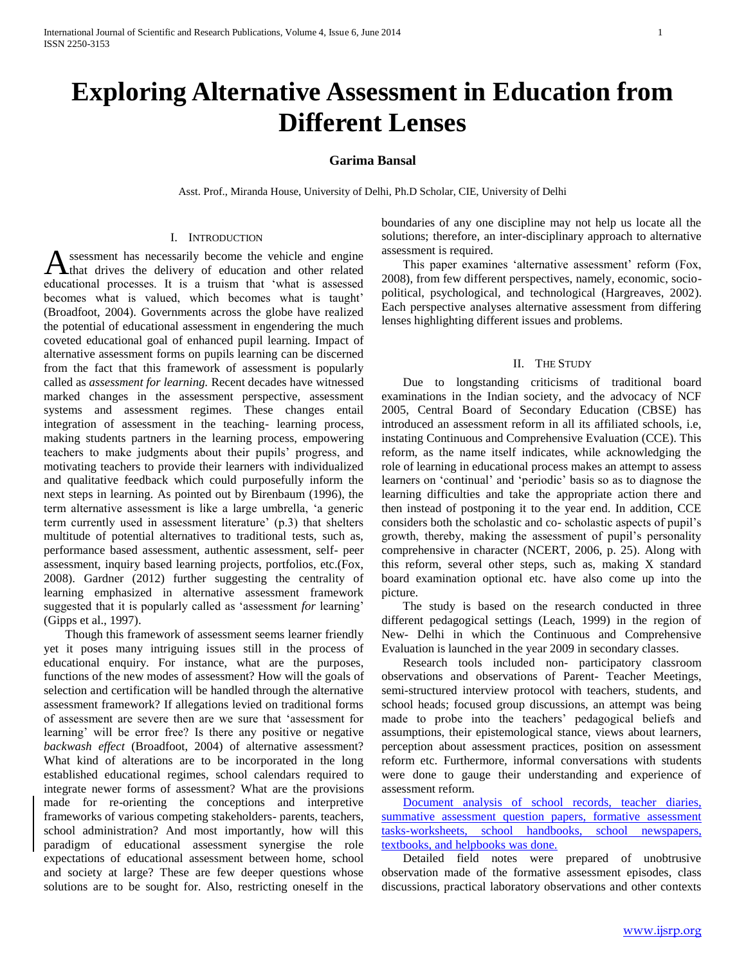# **Exploring Alternative Assessment in Education from Different Lenses**

## **Garima Bansal**

Asst. Prof., Miranda House, University of Delhi, Ph.D Scholar, CIE, University of Delhi

## I. INTRODUCTION

ssessment has necessarily become the vehicle and engine that drives the delivery of education and other related Assessment has necessarily become the vehicle and engine that drives the delivery of education and other related educational processes. It is a truism that 'what is assessed becomes what is valued, which becomes what is taught' (Broadfoot, 2004). Governments across the globe have realized the potential of educational assessment in engendering the much coveted educational goal of enhanced pupil learning. Impact of alternative assessment forms on pupils learning can be discerned from the fact that this framework of assessment is popularly called as *assessment for learning.* Recent decades have witnessed marked changes in the assessment perspective, assessment systems and assessment regimes. These changes entail integration of assessment in the teaching- learning process, making students partners in the learning process, empowering teachers to make judgments about their pupils' progress, and motivating teachers to provide their learners with individualized and qualitative feedback which could purposefully inform the next steps in learning. As pointed out by Birenbaum (1996), the term alternative assessment is like a large umbrella, 'a generic term currently used in assessment literature' (p.3) that shelters multitude of potential alternatives to traditional tests, such as, performance based assessment, authentic assessment, self- peer assessment, inquiry based learning projects, portfolios, etc.(Fox, 2008). Gardner (2012) further suggesting the centrality of learning emphasized in alternative assessment framework suggested that it is popularly called as 'assessment *for* learning' (Gipps et al., 1997).

 Though this framework of assessment seems learner friendly yet it poses many intriguing issues still in the process of educational enquiry. For instance, what are the purposes, functions of the new modes of assessment? How will the goals of selection and certification will be handled through the alternative assessment framework? If allegations levied on traditional forms of assessment are severe then are we sure that 'assessment for learning' will be error free? Is there any positive or negative *backwash effect* (Broadfoot, 2004) of alternative assessment? What kind of alterations are to be incorporated in the long established educational regimes, school calendars required to integrate newer forms of assessment? What are the provisions made for re-orienting the conceptions and interpretive frameworks of various competing stakeholders- parents, teachers, school administration? And most importantly, how will this paradigm of educational assessment synergise the role expectations of educational assessment between home, school and society at large? These are few deeper questions whose solutions are to be sought for. Also, restricting oneself in the

boundaries of any one discipline may not help us locate all the solutions; therefore, an inter-disciplinary approach to alternative assessment is required.

 This paper examines 'alternative assessment' reform (Fox, 2008), from few different perspectives, namely, economic, sociopolitical, psychological, and technological (Hargreaves, 2002). Each perspective analyses alternative assessment from differing lenses highlighting different issues and problems.

### II. THE STUDY

 Due to longstanding criticisms of traditional board examinations in the Indian society, and the advocacy of NCF 2005, Central Board of Secondary Education (CBSE) has introduced an assessment reform in all its affiliated schools, i.e, instating Continuous and Comprehensive Evaluation (CCE). This reform, as the name itself indicates, while acknowledging the role of learning in educational process makes an attempt to assess learners on 'continual' and 'periodic' basis so as to diagnose the learning difficulties and take the appropriate action there and then instead of postponing it to the year end. In addition, CCE considers both the scholastic and co- scholastic aspects of pupil's growth, thereby, making the assessment of pupil's personality comprehensive in character (NCERT, 2006, p. 25). Along with this reform, several other steps, such as, making X standard board examination optional etc. have also come up into the picture.

 The study is based on the research conducted in three different pedagogical settings (Leach, 1999) in the region of New- Delhi in which the Continuous and Comprehensive Evaluation is launched in the year 2009 in secondary classes.

 Research tools included non- participatory classroom observations and observations of Parent- Teacher Meetings, semi-structured interview protocol with teachers, students, and school heads; focused group discussions, an attempt was being made to probe into the teachers' pedagogical beliefs and assumptions, their epistemological stance, views about learners, perception about assessment practices, position on assessment reform etc. Furthermore, informal conversations with students were done to gauge their understanding and experience of assessment reform.

 Document analysis of school records, teacher diaries, summative assessment question papers, formative assessment tasks-worksheets, school handbooks, school newspapers, textbooks, and helpbooks was done.

 Detailed field notes were prepared of unobtrusive observation made of the formative assessment episodes, class discussions, practical laboratory observations and other contexts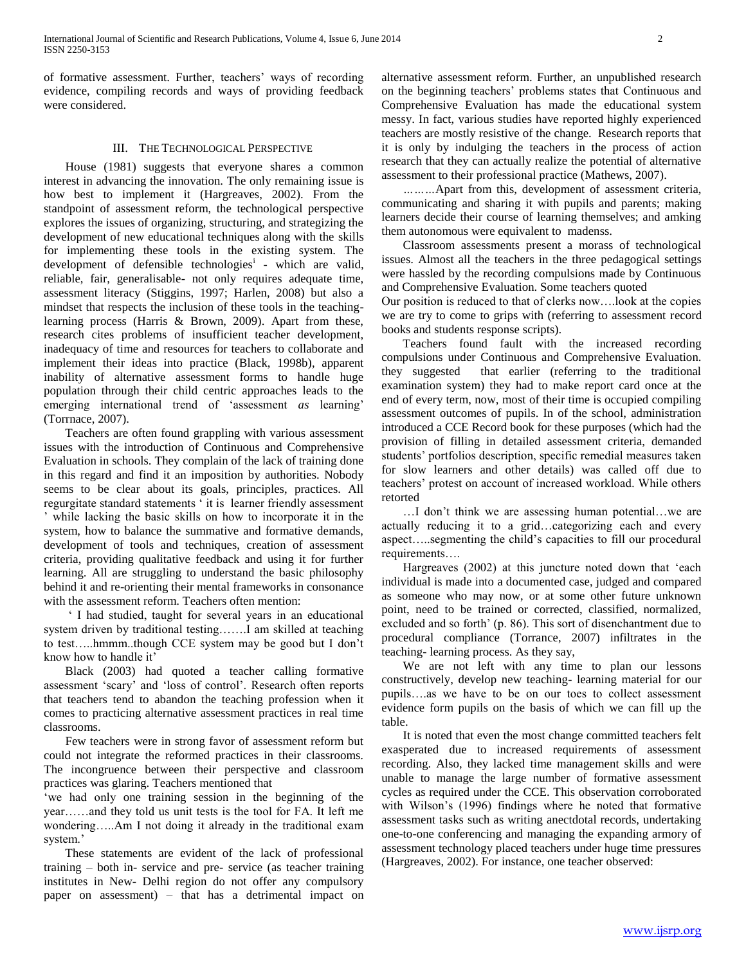of formative assessment. Further, teachers' ways of recording evidence, compiling records and ways of providing feedback were considered.

## III. THE TECHNOLOGICAL PERSPECTIVE

 House (1981) suggests that everyone shares a common interest in advancing the innovation. The only remaining issue is how best to implement it (Hargreaves, 2002). From the standpoint of assessment reform, the technological perspective explores the issues of organizing, structuring, and strategizing the development of new educational techniques along with the skills for implementing these tools in the existing system. The development of defensible technologies<sup>i</sup> - which are valid, reliable, fair, generalisable- not only requires adequate time, assessment literacy (Stiggins, 1997; Harlen, 2008) but also a mindset that respects the inclusion of these tools in the teachinglearning process (Harris & Brown, 2009). Apart from these, research cites problems of insufficient teacher development, inadequacy of time and resources for teachers to collaborate and implement their ideas into practice (Black, 1998b), apparent inability of alternative assessment forms to handle huge population through their child centric approaches leads to the emerging international trend of 'assessment *as* learning' (Torrnace, 2007).

 Teachers are often found grappling with various assessment issues with the introduction of Continuous and Comprehensive Evaluation in schools. They complain of the lack of training done in this regard and find it an imposition by authorities. Nobody seems to be clear about its goals, principles, practices. All regurgitate standard statements ' it is learner friendly assessment ' while lacking the basic skills on how to incorporate it in the system, how to balance the summative and formative demands, development of tools and techniques, creation of assessment criteria, providing qualitative feedback and using it for further learning. All are struggling to understand the basic philosophy behind it and re-orienting their mental frameworks in consonance with the assessment reform. Teachers often mention:

 ' I had studied, taught for several years in an educational system driven by traditional testing…….I am skilled at teaching to test…..hmmm..though CCE system may be good but I don't know how to handle it'

 Black (2003) had quoted a teacher calling formative assessment 'scary' and 'loss of control'. Research often reports that teachers tend to abandon the teaching profession when it comes to practicing alternative assessment practices in real time classrooms.

 Few teachers were in strong favor of assessment reform but could not integrate the reformed practices in their classrooms. The incongruence between their perspective and classroom practices was glaring. Teachers mentioned that

'we had only one training session in the beginning of the year……and they told us unit tests is the tool for FA. It left me wondering…..Am I not doing it already in the traditional exam system.'

 These statements are evident of the lack of professional training – both in- service and pre- service (as teacher training institutes in New- Delhi region do not offer any compulsory paper on assessment) – that has a detrimental impact on alternative assessment reform. Further, an unpublished research on the beginning teachers' problems states that Continuous and Comprehensive Evaluation has made the educational system messy. In fact, various studies have reported highly experienced teachers are mostly resistive of the change. Research reports that it is only by indulging the teachers in the process of action research that they can actually realize the potential of alternative assessment to their professional practice (Mathews, 2007).

 *………*Apart from this, development of assessment criteria, communicating and sharing it with pupils and parents; making learners decide their course of learning themselves; and amking them autonomous were equivalent to madenss.

 Classroom assessments present a morass of technological issues. Almost all the teachers in the three pedagogical settings were hassled by the recording compulsions made by Continuous and Comprehensive Evaluation. Some teachers quoted

Our position is reduced to that of clerks now….look at the copies we are try to come to grips with (referring to assessment record books and students response scripts).

 Teachers found fault with the increased recording compulsions under Continuous and Comprehensive Evaluation. they suggested that earlier (referring to the traditional examination system) they had to make report card once at the end of every term, now, most of their time is occupied compiling assessment outcomes of pupils. In of the school, administration introduced a CCE Record book for these purposes (which had the provision of filling in detailed assessment criteria, demanded students' portfolios description, specific remedial measures taken for slow learners and other details) was called off due to teachers' protest on account of increased workload. While others retorted

 …I don't think we are assessing human potential…we are actually reducing it to a grid…categorizing each and every aspect…..segmenting the child's capacities to fill our procedural requirements….

 Hargreaves (2002) at this juncture noted down that 'each individual is made into a documented case, judged and compared as someone who may now, or at some other future unknown point, need to be trained or corrected, classified, normalized, excluded and so forth' (p. 86). This sort of disenchantment due to procedural compliance (Torrance, 2007) infiltrates in the teaching- learning process. As they say,

 We are not left with any time to plan our lessons constructively, develop new teaching- learning material for our pupils….as we have to be on our toes to collect assessment evidence form pupils on the basis of which we can fill up the table.

 It is noted that even the most change committed teachers felt exasperated due to increased requirements of assessment recording. Also, they lacked time management skills and were unable to manage the large number of formative assessment cycles as required under the CCE. This observation corroborated with Wilson's (1996) findings where he noted that formative assessment tasks such as writing anectdotal records, undertaking one-to-one conferencing and managing the expanding armory of assessment technology placed teachers under huge time pressures (Hargreaves, 2002). For instance, one teacher observed: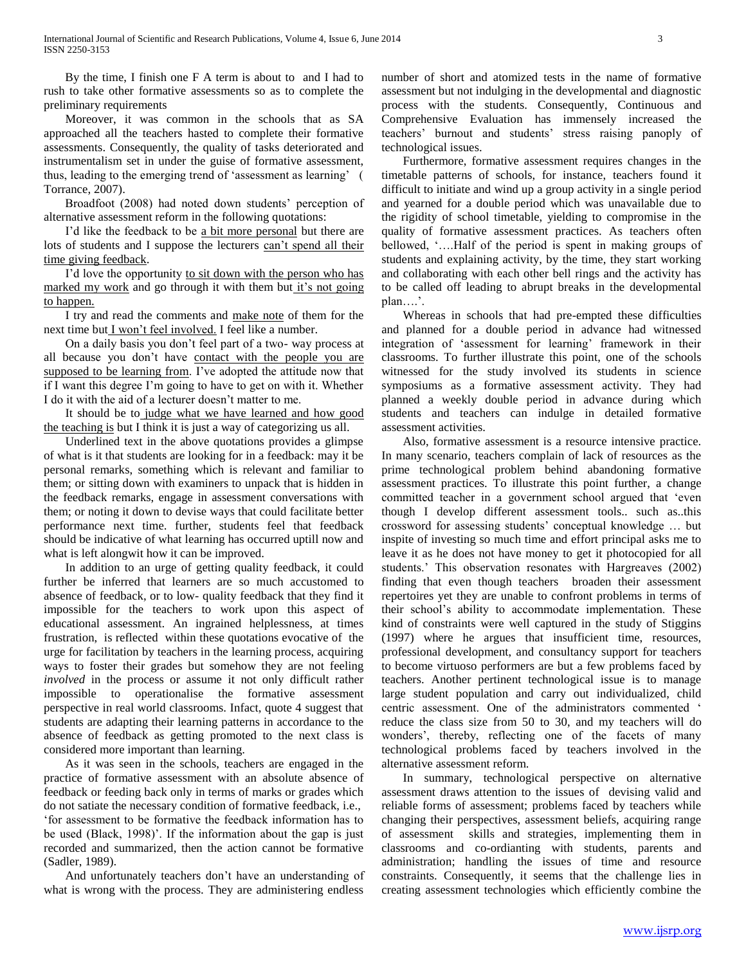By the time, I finish one F A term is about to and I had to rush to take other formative assessments so as to complete the preliminary requirements

 Moreover, it was common in the schools that as SA approached all the teachers hasted to complete their formative assessments. Consequently, the quality of tasks deteriorated and instrumentalism set in under the guise of formative assessment, thus, leading to the emerging trend of 'assessment as learning' ( Torrance, 2007).

 Broadfoot (2008) had noted down students' perception of alternative assessment reform in the following quotations:

 I'd like the feedback to be a bit more personal but there are lots of students and I suppose the lecturers can't spend all their time giving feedback.

I'd love the opportunity to sit down with the person who has marked my work and go through it with them but it's not going to happen.

 I try and read the comments and make note of them for the next time but I won't feel involved. I feel like a number.

 On a daily basis you don't feel part of a two- way process at all because you don't have contact with the people you are supposed to be learning from. I've adopted the attitude now that if I want this degree I'm going to have to get on with it. Whether I do it with the aid of a lecturer doesn't matter to me.

 It should be to judge what we have learned and how good the teaching is but I think it is just a way of categorizing us all.

 Underlined text in the above quotations provides a glimpse of what is it that students are looking for in a feedback: may it be personal remarks, something which is relevant and familiar to them; or sitting down with examiners to unpack that is hidden in the feedback remarks, engage in assessment conversations with them; or noting it down to devise ways that could facilitate better performance next time. further, students feel that feedback should be indicative of what learning has occurred uptill now and what is left alongwit how it can be improved.

 In addition to an urge of getting quality feedback, it could further be inferred that learners are so much accustomed to absence of feedback, or to low- quality feedback that they find it impossible for the teachers to work upon this aspect of educational assessment. An ingrained helplessness, at times frustration, is reflected within these quotations evocative of the urge for facilitation by teachers in the learning process, acquiring ways to foster their grades but somehow they are not feeling *involved* in the process or assume it not only difficult rather impossible to operationalise the formative assessment perspective in real world classrooms. Infact, quote 4 suggest that students are adapting their learning patterns in accordance to the absence of feedback as getting promoted to the next class is considered more important than learning.

 As it was seen in the schools, teachers are engaged in the practice of formative assessment with an absolute absence of feedback or feeding back only in terms of marks or grades which do not satiate the necessary condition of formative feedback, i.e., 'for assessment to be formative the feedback information has to be used (Black, 1998)'. If the information about the gap is just recorded and summarized, then the action cannot be formative (Sadler, 1989).

 And unfortunately teachers don't have an understanding of what is wrong with the process. They are administering endless

number of short and atomized tests in the name of formative assessment but not indulging in the developmental and diagnostic process with the students. Consequently, Continuous and Comprehensive Evaluation has immensely increased the teachers' burnout and students' stress raising panoply of technological issues.

 Furthermore, formative assessment requires changes in the timetable patterns of schools, for instance, teachers found it difficult to initiate and wind up a group activity in a single period and yearned for a double period which was unavailable due to the rigidity of school timetable, yielding to compromise in the quality of formative assessment practices. As teachers often bellowed, '….Half of the period is spent in making groups of students and explaining activity, by the time, they start working and collaborating with each other bell rings and the activity has to be called off leading to abrupt breaks in the developmental plan….'.

 Whereas in schools that had pre-empted these difficulties and planned for a double period in advance had witnessed integration of 'assessment for learning' framework in their classrooms. To further illustrate this point, one of the schools witnessed for the study involved its students in science symposiums as a formative assessment activity. They had planned a weekly double period in advance during which students and teachers can indulge in detailed formative assessment activities.

 Also, formative assessment is a resource intensive practice. In many scenario, teachers complain of lack of resources as the prime technological problem behind abandoning formative assessment practices. To illustrate this point further, a change committed teacher in a government school argued that 'even though I develop different assessment tools.. such as..this crossword for assessing students' conceptual knowledge … but inspite of investing so much time and effort principal asks me to leave it as he does not have money to get it photocopied for all students.' This observation resonates with Hargreaves (2002) finding that even though teachers broaden their assessment repertoires yet they are unable to confront problems in terms of their school's ability to accommodate implementation. These kind of constraints were well captured in the study of Stiggins (1997) where he argues that insufficient time, resources, professional development, and consultancy support for teachers to become virtuoso performers are but a few problems faced by teachers. Another pertinent technological issue is to manage large student population and carry out individualized, child centric assessment. One of the administrators commented ' reduce the class size from 50 to 30, and my teachers will do wonders', thereby, reflecting one of the facets of many technological problems faced by teachers involved in the alternative assessment reform.

 In summary, technological perspective on alternative assessment draws attention to the issues of devising valid and reliable forms of assessment; problems faced by teachers while changing their perspectives, assessment beliefs, acquiring range of assessment skills and strategies, implementing them in classrooms and co-ordianting with students, parents and administration; handling the issues of time and resource constraints. Consequently, it seems that the challenge lies in creating assessment technologies which efficiently combine the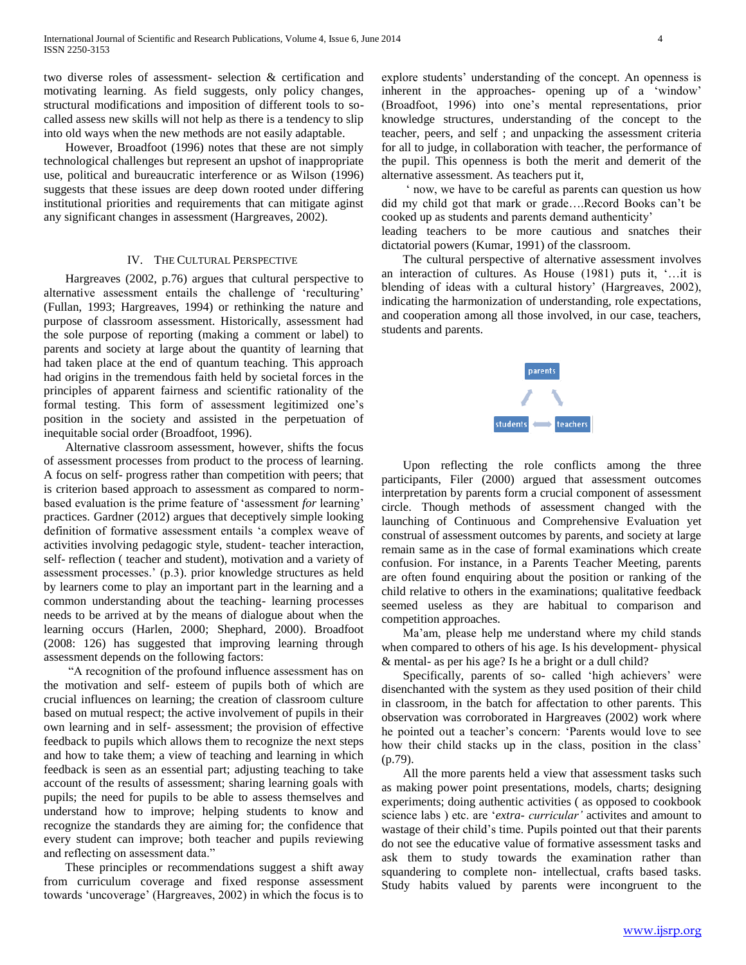two diverse roles of assessment- selection & certification and motivating learning. As field suggests, only policy changes, structural modifications and imposition of different tools to socalled assess new skills will not help as there is a tendency to slip into old ways when the new methods are not easily adaptable.

 However, Broadfoot (1996) notes that these are not simply technological challenges but represent an upshot of inappropriate use, political and bureaucratic interference or as Wilson (1996) suggests that these issues are deep down rooted under differing institutional priorities and requirements that can mitigate aginst any significant changes in assessment (Hargreaves, 2002).

#### IV. THE CULTURAL PERSPECTIVE

 Hargreaves (2002, p.76) argues that cultural perspective to alternative assessment entails the challenge of 'reculturing' (Fullan, 1993; Hargreaves, 1994) or rethinking the nature and purpose of classroom assessment. Historically, assessment had the sole purpose of reporting (making a comment or label) to parents and society at large about the quantity of learning that had taken place at the end of quantum teaching. This approach had origins in the tremendous faith held by societal forces in the principles of apparent fairness and scientific rationality of the formal testing. This form of assessment legitimized one's position in the society and assisted in the perpetuation of inequitable social order (Broadfoot, 1996).

 Alternative classroom assessment, however, shifts the focus of assessment processes from product to the process of learning. A focus on self- progress rather than competition with peers; that is criterion based approach to assessment as compared to normbased evaluation is the prime feature of 'assessment *for* learning' practices. Gardner (2012) argues that deceptively simple looking definition of formative assessment entails 'a complex weave of activities involving pedagogic style, student- teacher interaction, self- reflection ( teacher and student), motivation and a variety of assessment processes.' (p.3). prior knowledge structures as held by learners come to play an important part in the learning and a common understanding about the teaching- learning processes needs to be arrived at by the means of dialogue about when the learning occurs (Harlen, 2000; Shephard, 2000). Broadfoot (2008: 126) has suggested that improving learning through assessment depends on the following factors:

 "A recognition of the profound influence assessment has on the motivation and self- esteem of pupils both of which are crucial influences on learning; the creation of classroom culture based on mutual respect; the active involvement of pupils in their own learning and in self- assessment; the provision of effective feedback to pupils which allows them to recognize the next steps and how to take them; a view of teaching and learning in which feedback is seen as an essential part; adjusting teaching to take account of the results of assessment; sharing learning goals with pupils; the need for pupils to be able to assess themselves and understand how to improve; helping students to know and recognize the standards they are aiming for; the confidence that every student can improve; both teacher and pupils reviewing and reflecting on assessment data."

 These principles or recommendations suggest a shift away from curriculum coverage and fixed response assessment towards 'uncoverage' (Hargreaves, 2002) in which the focus is to

explore students' understanding of the concept. An openness is inherent in the approaches- opening up of a 'window' (Broadfoot, 1996) into one's mental representations, prior knowledge structures, understanding of the concept to the teacher, peers, and self ; and unpacking the assessment criteria for all to judge, in collaboration with teacher, the performance of the pupil. This openness is both the merit and demerit of the alternative assessment. As teachers put it,

 ' now, we have to be careful as parents can question us how did my child got that mark or grade….Record Books can't be cooked up as students and parents demand authenticity'

leading teachers to be more cautious and snatches their dictatorial powers (Kumar, 1991) of the classroom.

 The cultural perspective of alternative assessment involves an interaction of cultures. As House (1981) puts it, '…it is blending of ideas with a cultural history' (Hargreaves, 2002), indicating the harmonization of understanding, role expectations, and cooperation among all those involved, in our case, teachers, students and parents.



 Upon reflecting the role conflicts among the three participants, Filer (2000) argued that assessment outcomes interpretation by parents form a crucial component of assessment circle. Though methods of assessment changed with the launching of Continuous and Comprehensive Evaluation yet construal of assessment outcomes by parents, and society at large remain same as in the case of formal examinations which create confusion. For instance, in a Parents Teacher Meeting, parents are often found enquiring about the position or ranking of the child relative to others in the examinations; qualitative feedback seemed useless as they are habitual to comparison and competition approaches.

 Ma'am, please help me understand where my child stands when compared to others of his age. Is his development- physical & mental- as per his age? Is he a bright or a dull child?

 Specifically, parents of so- called 'high achievers' were disenchanted with the system as they used position of their child in classroom, in the batch for affectation to other parents. This observation was corroborated in Hargreaves (2002) work where he pointed out a teacher's concern: 'Parents would love to see how their child stacks up in the class, position in the class' (p.79).

 All the more parents held a view that assessment tasks such as making power point presentations, models, charts; designing experiments; doing authentic activities ( as opposed to cookbook science labs ) etc. are '*extra- curricular'* activites and amount to wastage of their child's time. Pupils pointed out that their parents do not see the educative value of formative assessment tasks and ask them to study towards the examination rather than squandering to complete non- intellectual, crafts based tasks. Study habits valued by parents were incongruent to the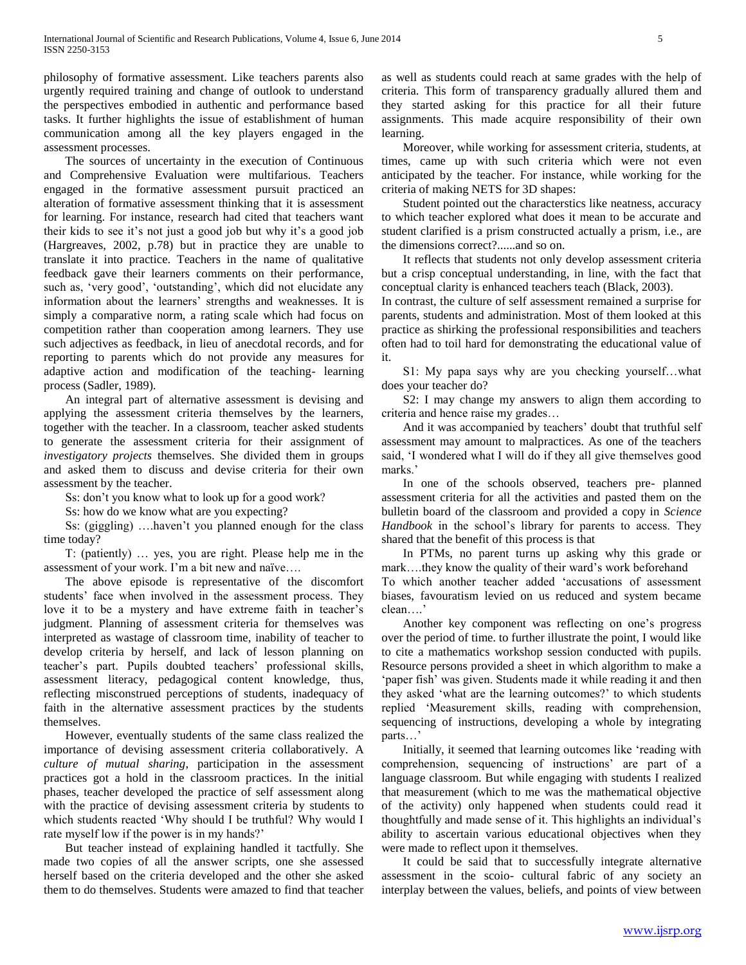philosophy of formative assessment. Like teachers parents also urgently required training and change of outlook to understand the perspectives embodied in authentic and performance based tasks. It further highlights the issue of establishment of human communication among all the key players engaged in the assessment processes.

 The sources of uncertainty in the execution of Continuous and Comprehensive Evaluation were multifarious. Teachers engaged in the formative assessment pursuit practiced an alteration of formative assessment thinking that it is assessment for learning. For instance, research had cited that teachers want their kids to see it's not just a good job but why it's a good job (Hargreaves, 2002, p.78) but in practice they are unable to translate it into practice. Teachers in the name of qualitative feedback gave their learners comments on their performance, such as, 'very good', 'outstanding', which did not elucidate any information about the learners' strengths and weaknesses. It is simply a comparative norm, a rating scale which had focus on competition rather than cooperation among learners. They use such adjectives as feedback, in lieu of anecdotal records, and for reporting to parents which do not provide any measures for adaptive action and modification of the teaching- learning process (Sadler, 1989).

 An integral part of alternative assessment is devising and applying the assessment criteria themselves by the learners, together with the teacher. In a classroom, teacher asked students to generate the assessment criteria for their assignment of *investigatory projects* themselves. She divided them in groups and asked them to discuss and devise criteria for their own assessment by the teacher.

Ss: don't you know what to look up for a good work?

Ss: how do we know what are you expecting?

 Ss: (giggling) ….haven't you planned enough for the class time today?

 T: (patiently) … yes, you are right. Please help me in the assessment of your work. I'm a bit new and naïve….

 The above episode is representative of the discomfort students' face when involved in the assessment process. They love it to be a mystery and have extreme faith in teacher's judgment. Planning of assessment criteria for themselves was interpreted as wastage of classroom time, inability of teacher to develop criteria by herself, and lack of lesson planning on teacher's part. Pupils doubted teachers' professional skills, assessment literacy, pedagogical content knowledge, thus, reflecting misconstrued perceptions of students, inadequacy of faith in the alternative assessment practices by the students themselves.

 However, eventually students of the same class realized the importance of devising assessment criteria collaboratively. A *culture of mutual sharing*, participation in the assessment practices got a hold in the classroom practices. In the initial phases, teacher developed the practice of self assessment along with the practice of devising assessment criteria by students to which students reacted 'Why should I be truthful? Why would I rate myself low if the power is in my hands?'

 But teacher instead of explaining handled it tactfully. She made two copies of all the answer scripts, one she assessed herself based on the criteria developed and the other she asked them to do themselves. Students were amazed to find that teacher

as well as students could reach at same grades with the help of criteria. This form of transparency gradually allured them and they started asking for this practice for all their future assignments. This made acquire responsibility of their own learning.

 Moreover, while working for assessment criteria, students, at times, came up with such criteria which were not even anticipated by the teacher. For instance, while working for the criteria of making NETS for 3D shapes:

 Student pointed out the characterstics like neatness, accuracy to which teacher explored what does it mean to be accurate and student clarified is a prism constructed actually a prism, i.e., are the dimensions correct?......and so on.

 It reflects that students not only develop assessment criteria but a crisp conceptual understanding, in line, with the fact that conceptual clarity is enhanced teachers teach (Black, 2003).

In contrast, the culture of self assessment remained a surprise for parents, students and administration. Most of them looked at this practice as shirking the professional responsibilities and teachers often had to toil hard for demonstrating the educational value of it.

 S1: My papa says why are you checking yourself…what does your teacher do?

 S2: I may change my answers to align them according to criteria and hence raise my grades…

 And it was accompanied by teachers' doubt that truthful self assessment may amount to malpractices. As one of the teachers said, 'I wondered what I will do if they all give themselves good marks.'

 In one of the schools observed, teachers pre- planned assessment criteria for all the activities and pasted them on the bulletin board of the classroom and provided a copy in *Science Handbook* in the school's library for parents to access. They shared that the benefit of this process is that

 In PTMs, no parent turns up asking why this grade or mark….they know the quality of their ward's work beforehand To which another teacher added 'accusations of assessment biases, favouratism levied on us reduced and system became clean….'

 Another key component was reflecting on one's progress over the period of time. to further illustrate the point, I would like to cite a mathematics workshop session conducted with pupils. Resource persons provided a sheet in which algorithm to make a 'paper fish' was given. Students made it while reading it and then they asked 'what are the learning outcomes?' to which students replied 'Measurement skills, reading with comprehension, sequencing of instructions, developing a whole by integrating parts…'

 Initially, it seemed that learning outcomes like 'reading with comprehension, sequencing of instructions' are part of a language classroom. But while engaging with students I realized that measurement (which to me was the mathematical objective of the activity) only happened when students could read it thoughtfully and made sense of it. This highlights an individual's ability to ascertain various educational objectives when they were made to reflect upon it themselves.

 It could be said that to successfully integrate alternative assessment in the scoio- cultural fabric of any society an interplay between the values, beliefs, and points of view between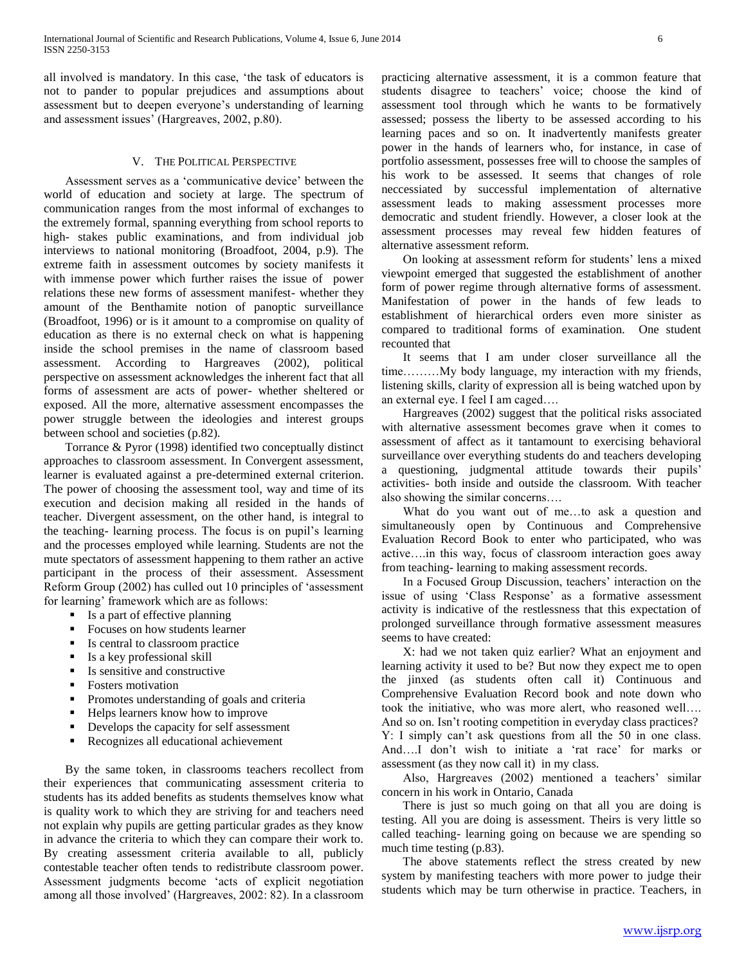all involved is mandatory. In this case, 'the task of educators is not to pander to popular prejudices and assumptions about assessment but to deepen everyone's understanding of learning and assessment issues' (Hargreaves, 2002, p.80).

## V. THE POLITICAL PERSPECTIVE

 Assessment serves as a 'communicative device' between the world of education and society at large. The spectrum of communication ranges from the most informal of exchanges to the extremely formal, spanning everything from school reports to high- stakes public examinations, and from individual job interviews to national monitoring (Broadfoot, 2004, p.9). The extreme faith in assessment outcomes by society manifests it with immense power which further raises the issue of power relations these new forms of assessment manifest- whether they amount of the Benthamite notion of panoptic surveillance (Broadfoot, 1996) or is it amount to a compromise on quality of education as there is no external check on what is happening inside the school premises in the name of classroom based assessment. According to Hargreaves (2002), political perspective on assessment acknowledges the inherent fact that all forms of assessment are acts of power- whether sheltered or exposed. All the more, alternative assessment encompasses the power struggle between the ideologies and interest groups between school and societies (p.82).

 Torrance & Pyror (1998) identified two conceptually distinct approaches to classroom assessment. In Convergent assessment, learner is evaluated against a pre-determined external criterion. The power of choosing the assessment tool, way and time of its execution and decision making all resided in the hands of teacher. Divergent assessment, on the other hand, is integral to the teaching- learning process. The focus is on pupil's learning and the processes employed while learning. Students are not the mute spectators of assessment happening to them rather an active participant in the process of their assessment. Assessment Reform Group (2002) has culled out 10 principles of 'assessment for learning' framework which are as follows:

- Is a part of effective planning
- **Focuses on how students learner**
- Is central to classroom practice
- $\blacksquare$  Is a key professional skill
- Is sensitive and constructive
- **Fosters motivation**
- **Promotes understanding of goals and criteria**
- Helps learners know how to improve
- Develops the capacity for self assessment
- Recognizes all educational achievement

 By the same token, in classrooms teachers recollect from their experiences that communicating assessment criteria to students has its added benefits as students themselves know what is quality work to which they are striving for and teachers need not explain why pupils are getting particular grades as they know in advance the criteria to which they can compare their work to. By creating assessment criteria available to all, publicly contestable teacher often tends to redistribute classroom power. Assessment judgments become 'acts of explicit negotiation among all those involved' (Hargreaves, 2002: 82). In a classroom practicing alternative assessment, it is a common feature that students disagree to teachers' voice; choose the kind of assessment tool through which he wants to be formatively assessed; possess the liberty to be assessed according to his learning paces and so on. It inadvertently manifests greater power in the hands of learners who, for instance, in case of portfolio assessment, possesses free will to choose the samples of his work to be assessed. It seems that changes of role neccessiated by successful implementation of alternative assessment leads to making assessment processes more democratic and student friendly. However, a closer look at the assessment processes may reveal few hidden features of alternative assessment reform.

 On looking at assessment reform for students' lens a mixed viewpoint emerged that suggested the establishment of another form of power regime through alternative forms of assessment. Manifestation of power in the hands of few leads to establishment of hierarchical orders even more sinister as compared to traditional forms of examination. One student recounted that

 It seems that I am under closer surveillance all the time………My body language, my interaction with my friends, listening skills, clarity of expression all is being watched upon by an external eye. I feel I am caged….

 Hargreaves (2002) suggest that the political risks associated with alternative assessment becomes grave when it comes to assessment of affect as it tantamount to exercising behavioral surveillance over everything students do and teachers developing a questioning, judgmental attitude towards their pupils' activities- both inside and outside the classroom. With teacher also showing the similar concerns….

What do you want out of me...to ask a question and simultaneously open by Continuous and Comprehensive Evaluation Record Book to enter who participated, who was active….in this way, focus of classroom interaction goes away from teaching- learning to making assessment records.

 In a Focused Group Discussion, teachers' interaction on the issue of using 'Class Response' as a formative assessment activity is indicative of the restlessness that this expectation of prolonged surveillance through formative assessment measures seems to have created:

 X: had we not taken quiz earlier? What an enjoyment and learning activity it used to be? But now they expect me to open the jinxed (as students often call it) Continuous and Comprehensive Evaluation Record book and note down who took the initiative, who was more alert, who reasoned well…. And so on. Isn't rooting competition in everyday class practices? Y: I simply can't ask questions from all the 50 in one class. And….I don't wish to initiate a 'rat race' for marks or assessment (as they now call it) in my class.

 Also, Hargreaves (2002) mentioned a teachers' similar concern in his work in Ontario, Canada

 There is just so much going on that all you are doing is testing. All you are doing is assessment. Theirs is very little so called teaching- learning going on because we are spending so much time testing (p.83).

 The above statements reflect the stress created by new system by manifesting teachers with more power to judge their students which may be turn otherwise in practice. Teachers, in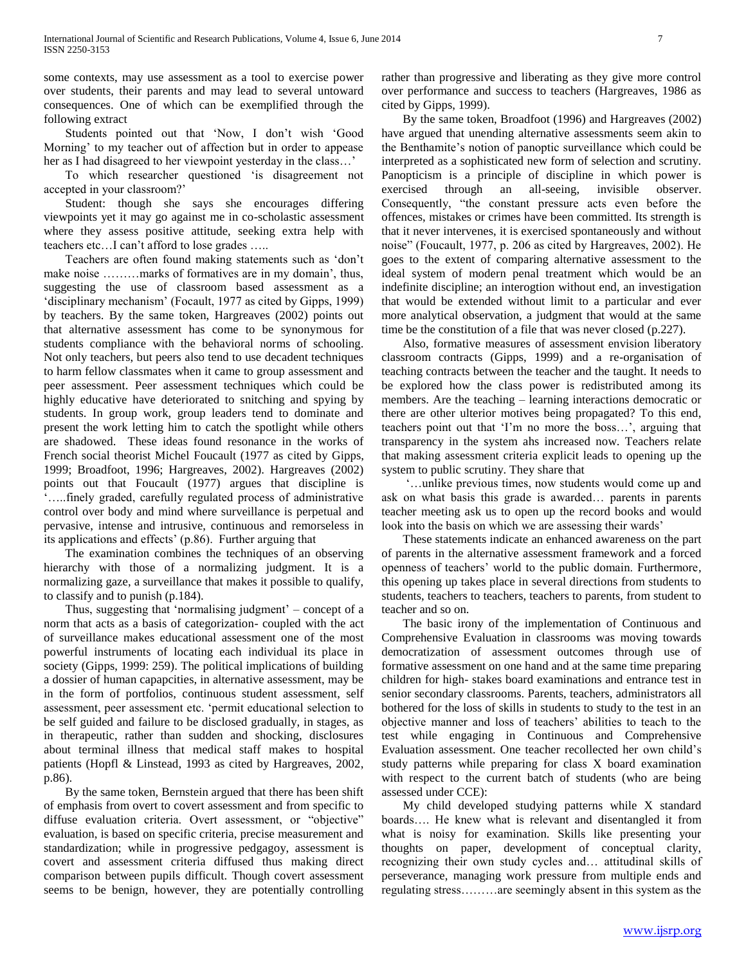some contexts, may use assessment as a tool to exercise power over students, their parents and may lead to several untoward consequences. One of which can be exemplified through the following extract

 Students pointed out that 'Now, I don't wish 'Good Morning' to my teacher out of affection but in order to appease her as I had disagreed to her viewpoint yesterday in the class…'

 To which researcher questioned 'is disagreement not accepted in your classroom?'

 Student: though she says she encourages differing viewpoints yet it may go against me in co-scholastic assessment where they assess positive attitude, seeking extra help with teachers etc…I can't afford to lose grades …..

 Teachers are often found making statements such as 'don't make noise ..........marks of formatives are in my domain', thus, suggesting the use of classroom based assessment as a 'disciplinary mechanism' (Focault, 1977 as cited by Gipps, 1999) by teachers. By the same token, Hargreaves (2002) points out that alternative assessment has come to be synonymous for students compliance with the behavioral norms of schooling. Not only teachers, but peers also tend to use decadent techniques to harm fellow classmates when it came to group assessment and peer assessment. Peer assessment techniques which could be highly educative have deteriorated to snitching and spying by students. In group work, group leaders tend to dominate and present the work letting him to catch the spotlight while others are shadowed. These ideas found resonance in the works of French social theorist Michel Foucault (1977 as cited by Gipps, 1999; Broadfoot, 1996; Hargreaves, 2002). Hargreaves (2002) points out that Foucault (1977) argues that discipline is '…..finely graded, carefully regulated process of administrative control over body and mind where surveillance is perpetual and pervasive, intense and intrusive, continuous and remorseless in its applications and effects' (p.86). Further arguing that

 The examination combines the techniques of an observing hierarchy with those of a normalizing judgment. It is a normalizing gaze, a surveillance that makes it possible to qualify, to classify and to punish (p.184).

 Thus, suggesting that 'normalising judgment' – concept of a norm that acts as a basis of categorization- coupled with the act of surveillance makes educational assessment one of the most powerful instruments of locating each individual its place in society (Gipps, 1999: 259). The political implications of building a dossier of human capapcities, in alternative assessment, may be in the form of portfolios, continuous student assessment, self assessment, peer assessment etc. 'permit educational selection to be self guided and failure to be disclosed gradually, in stages, as in therapeutic, rather than sudden and shocking, disclosures about terminal illness that medical staff makes to hospital patients (Hopfl & Linstead, 1993 as cited by Hargreaves, 2002, p.86).

 By the same token, Bernstein argued that there has been shift of emphasis from overt to covert assessment and from specific to diffuse evaluation criteria. Overt assessment, or "objective" evaluation, is based on specific criteria, precise measurement and standardization; while in progressive pedgagoy, assessment is covert and assessment criteria diffused thus making direct comparison between pupils difficult. Though covert assessment seems to be benign, however, they are potentially controlling

rather than progressive and liberating as they give more control over performance and success to teachers (Hargreaves, 1986 as cited by Gipps, 1999).

 By the same token, Broadfoot (1996) and Hargreaves (2002) have argued that unending alternative assessments seem akin to the Benthamite's notion of panoptic surveillance which could be interpreted as a sophisticated new form of selection and scrutiny. Panopticism is a principle of discipline in which power is exercised through an all-seeing, invisible observer. Consequently, "the constant pressure acts even before the offences, mistakes or crimes have been committed. Its strength is that it never intervenes, it is exercised spontaneously and without noise" (Foucault, 1977, p. 206 as cited by Hargreaves, 2002). He goes to the extent of comparing alternative assessment to the ideal system of modern penal treatment which would be an indefinite discipline; an interogtion without end, an investigation that would be extended without limit to a particular and ever more analytical observation, a judgment that would at the same time be the constitution of a file that was never closed (p.227).

 Also, formative measures of assessment envision liberatory classroom contracts (Gipps, 1999) and a re-organisation of teaching contracts between the teacher and the taught. It needs to be explored how the class power is redistributed among its members. Are the teaching – learning interactions democratic or there are other ulterior motives being propagated? To this end, teachers point out that 'I'm no more the boss…', arguing that transparency in the system ahs increased now. Teachers relate that making assessment criteria explicit leads to opening up the system to public scrutiny. They share that

 '…unlike previous times, now students would come up and ask on what basis this grade is awarded… parents in parents teacher meeting ask us to open up the record books and would look into the basis on which we are assessing their wards'

 These statements indicate an enhanced awareness on the part of parents in the alternative assessment framework and a forced openness of teachers' world to the public domain. Furthermore, this opening up takes place in several directions from students to students, teachers to teachers, teachers to parents, from student to teacher and so on.

 The basic irony of the implementation of Continuous and Comprehensive Evaluation in classrooms was moving towards democratization of assessment outcomes through use of formative assessment on one hand and at the same time preparing children for high- stakes board examinations and entrance test in senior secondary classrooms. Parents, teachers, administrators all bothered for the loss of skills in students to study to the test in an objective manner and loss of teachers' abilities to teach to the test while engaging in Continuous and Comprehensive Evaluation assessment. One teacher recollected her own child's study patterns while preparing for class X board examination with respect to the current batch of students (who are being assessed under CCE):

 My child developed studying patterns while X standard boards…. He knew what is relevant and disentangled it from what is noisy for examination. Skills like presenting your thoughts on paper, development of conceptual clarity, recognizing their own study cycles and… attitudinal skills of perseverance, managing work pressure from multiple ends and regulating stress………are seemingly absent in this system as the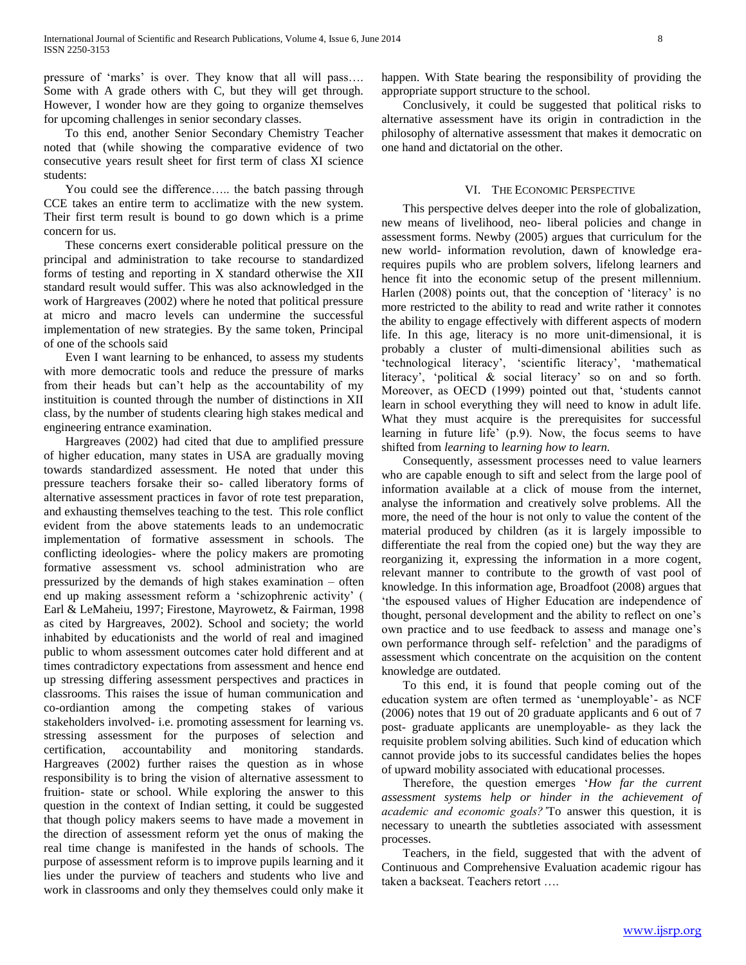pressure of 'marks' is over. They know that all will pass…. Some with A grade others with C, but they will get through. However, I wonder how are they going to organize themselves for upcoming challenges in senior secondary classes.

 To this end, another Senior Secondary Chemistry Teacher noted that (while showing the comparative evidence of two consecutive years result sheet for first term of class XI science students:

 You could see the difference….. the batch passing through CCE takes an entire term to acclimatize with the new system. Their first term result is bound to go down which is a prime concern for us.

 These concerns exert considerable political pressure on the principal and administration to take recourse to standardized forms of testing and reporting in X standard otherwise the XII standard result would suffer. This was also acknowledged in the work of Hargreaves (2002) where he noted that political pressure at micro and macro levels can undermine the successful implementation of new strategies. By the same token, Principal of one of the schools said

 Even I want learning to be enhanced, to assess my students with more democratic tools and reduce the pressure of marks from their heads but can't help as the accountability of my instituition is counted through the number of distinctions in XII class, by the number of students clearing high stakes medical and engineering entrance examination.

 Hargreaves (2002) had cited that due to amplified pressure of higher education, many states in USA are gradually moving towards standardized assessment. He noted that under this pressure teachers forsake their so- called liberatory forms of alternative assessment practices in favor of rote test preparation, and exhausting themselves teaching to the test. This role conflict evident from the above statements leads to an undemocratic implementation of formative assessment in schools. The conflicting ideologies- where the policy makers are promoting formative assessment vs. school administration who are pressurized by the demands of high stakes examination – often end up making assessment reform a 'schizophrenic activity' ( Earl & LeMaheiu, 1997; Firestone, Mayrowetz, & Fairman, 1998 as cited by Hargreaves, 2002). School and society; the world inhabited by educationists and the world of real and imagined public to whom assessment outcomes cater hold different and at times contradictory expectations from assessment and hence end up stressing differing assessment perspectives and practices in classrooms. This raises the issue of human communication and co-ordiantion among the competing stakes of various stakeholders involved- i.e. promoting assessment for learning vs. stressing assessment for the purposes of selection and certification, accountability and monitoring standards. Hargreaves (2002) further raises the question as in whose responsibility is to bring the vision of alternative assessment to fruition- state or school. While exploring the answer to this question in the context of Indian setting, it could be suggested that though policy makers seems to have made a movement in the direction of assessment reform yet the onus of making the real time change is manifested in the hands of schools. The purpose of assessment reform is to improve pupils learning and it lies under the purview of teachers and students who live and work in classrooms and only they themselves could only make it happen. With State bearing the responsibility of providing the appropriate support structure to the school.

 Conclusively, it could be suggested that political risks to alternative assessment have its origin in contradiction in the philosophy of alternative assessment that makes it democratic on one hand and dictatorial on the other.

## VI. THE ECONOMIC PERSPECTIVE

 This perspective delves deeper into the role of globalization, new means of livelihood, neo- liberal policies and change in assessment forms. Newby (2005) argues that curriculum for the new world- information revolution, dawn of knowledge erarequires pupils who are problem solvers, lifelong learners and hence fit into the economic setup of the present millennium. Harlen (2008) points out, that the conception of 'literacy' is no more restricted to the ability to read and write rather it connotes the ability to engage effectively with different aspects of modern life. In this age, literacy is no more unit-dimensional, it is probably a cluster of multi-dimensional abilities such as 'technological literacy', 'scientific literacy', 'mathematical literacy', 'political & social literacy' so on and so forth. Moreover, as OECD (1999) pointed out that, 'students cannot learn in school everything they will need to know in adult life. What they must acquire is the prerequisites for successful learning in future life' (p.9). Now, the focus seems to have shifted from *learning* to *learning how to learn.* 

 Consequently, assessment processes need to value learners who are capable enough to sift and select from the large pool of information available at a click of mouse from the internet, analyse the information and creatively solve problems. All the more, the need of the hour is not only to value the content of the material produced by children (as it is largely impossible to differentiate the real from the copied one) but the way they are reorganizing it, expressing the information in a more cogent, relevant manner to contribute to the growth of vast pool of knowledge. In this information age, Broadfoot (2008) argues that 'the espoused values of Higher Education are independence of thought, personal development and the ability to reflect on one's own practice and to use feedback to assess and manage one's own performance through self- refelction' and the paradigms of assessment which concentrate on the acquisition on the content knowledge are outdated.

 To this end, it is found that people coming out of the education system are often termed as 'unemployable'- as NCF (2006) notes that 19 out of 20 graduate applicants and 6 out of 7 post- graduate applicants are unemployable- as they lack the requisite problem solving abilities. Such kind of education which cannot provide jobs to its successful candidates belies the hopes of upward mobility associated with educational processes.

 Therefore, the question emerges '*How far the current assessment systems help or hinder in the achievement of academic and economic goals?'*To answer this question, it is necessary to unearth the subtleties associated with assessment processes.

 Teachers, in the field, suggested that with the advent of Continuous and Comprehensive Evaluation academic rigour has taken a backseat. Teachers retort ….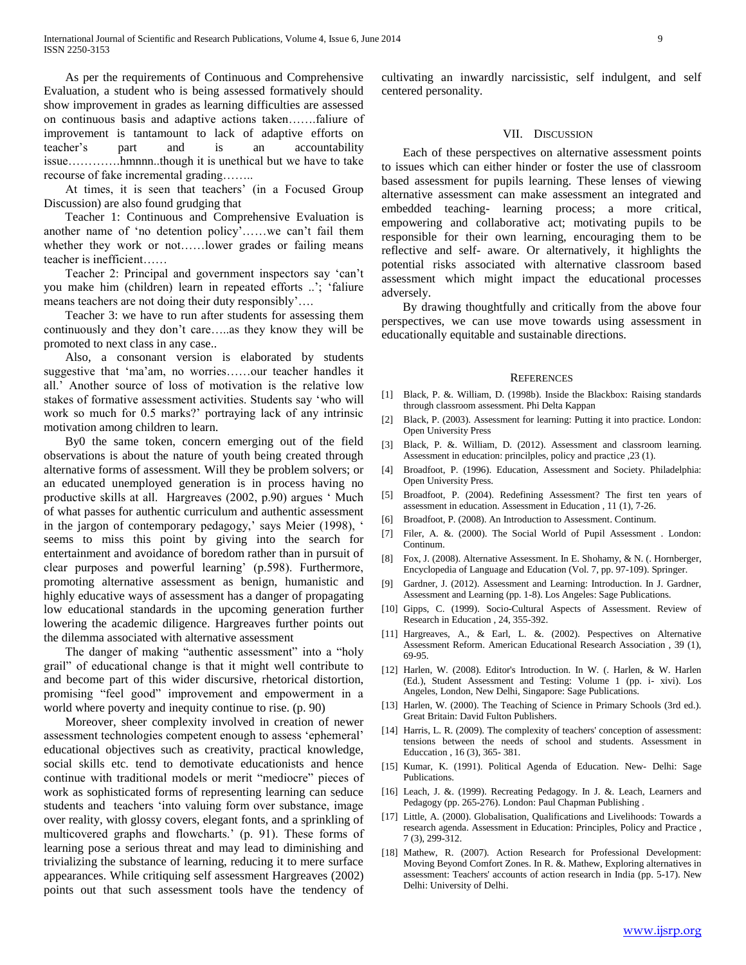As per the requirements of Continuous and Comprehensive Evaluation, a student who is being assessed formatively should show improvement in grades as learning difficulties are assessed on continuous basis and adaptive actions taken…….faliure of improvement is tantamount to lack of adaptive efforts on teacher's part and is an accountability issue………….hmnnn..though it is unethical but we have to take recourse of fake incremental grading……..

 At times, it is seen that teachers' (in a Focused Group Discussion) are also found grudging that

 Teacher 1: Continuous and Comprehensive Evaluation is another name of 'no detention policy'……we can't fail them whether they work or not......lower grades or failing means teacher is inefficient……

 Teacher 2: Principal and government inspectors say 'can't you make him (children) learn in repeated efforts ..'; 'faliure means teachers are not doing their duty responsibly'….

 Teacher 3: we have to run after students for assessing them continuously and they don't care…..as they know they will be promoted to next class in any case..

 Also, a consonant version is elaborated by students suggestive that 'ma'am, no worries……our teacher handles it all.' Another source of loss of motivation is the relative low stakes of formative assessment activities. Students say 'who will work so much for 0.5 marks?' portraying lack of any intrinsic motivation among children to learn.

 By0 the same token, concern emerging out of the field observations is about the nature of youth being created through alternative forms of assessment. Will they be problem solvers; or an educated unemployed generation is in process having no productive skills at all. Hargreaves (2002, p.90) argues ' Much of what passes for authentic curriculum and authentic assessment in the jargon of contemporary pedagogy,' says Meier (1998), ' seems to miss this point by giving into the search for entertainment and avoidance of boredom rather than in pursuit of clear purposes and powerful learning' (p.598). Furthermore, promoting alternative assessment as benign, humanistic and highly educative ways of assessment has a danger of propagating low educational standards in the upcoming generation further lowering the academic diligence. Hargreaves further points out the dilemma associated with alternative assessment

 The danger of making "authentic assessment" into a "holy grail" of educational change is that it might well contribute to and become part of this wider discursive, rhetorical distortion, promising "feel good" improvement and empowerment in a world where poverty and inequity continue to rise. (p. 90)

 Moreover, sheer complexity involved in creation of newer assessment technologies competent enough to assess 'ephemeral' educational objectives such as creativity, practical knowledge, social skills etc. tend to demotivate educationists and hence continue with traditional models or merit "mediocre" pieces of work as sophisticated forms of representing learning can seduce students and teachers 'into valuing form over substance, image over reality, with glossy covers, elegant fonts, and a sprinkling of multicovered graphs and flowcharts.' (p. 91). These forms of learning pose a serious threat and may lead to diminishing and trivializing the substance of learning, reducing it to mere surface appearances. While critiquing self assessment Hargreaves (2002) points out that such assessment tools have the tendency of

cultivating an inwardly narcissistic, self indulgent, and self centered personality.

#### VII. DISCUSSION

 Each of these perspectives on alternative assessment points to issues which can either hinder or foster the use of classroom based assessment for pupils learning. These lenses of viewing alternative assessment can make assessment an integrated and embedded teaching- learning process; a more critical, empowering and collaborative act; motivating pupils to be responsible for their own learning, encouraging them to be reflective and self- aware. Or alternatively, it highlights the potential risks associated with alternative classroom based assessment which might impact the educational processes adversely.

 By drawing thoughtfully and critically from the above four perspectives, we can use move towards using assessment in educationally equitable and sustainable directions.

#### REFERENCES

- [1] Black, P. &. William, D. (1998b). Inside the Blackbox: Raising standards through classroom assessment. Phi Delta Kappan
- [2] Black, P. (2003). Assessment for learning: Putting it into practice. London: Open University Press
- [3] Black, P. &. William, D. (2012). Assessment and classroom learning. Assessment in education: princilples, policy and practice ,23 (1).
- [4] Broadfoot, P. (1996). Education, Assessment and Society. Philadelphia: Open University Press.
- [5] Broadfoot, P. (2004). Redefining Assessment? The first ten years of assessment in education. Assessment in Education , 11 (1), 7-26.
- [6] Broadfoot, P. (2008). An Introduction to Assessment. Continum.
- [7] Filer, A. &. (2000). The Social World of Pupil Assessment . London: Continum.
- [8] Fox, J. (2008). Alternative Assessment. In E. Shohamy, & N. (. Hornberger, Encyclopedia of Language and Education (Vol. 7, pp. 97-109). Springer.
- [9] Gardner, J. (2012). Assessment and Learning: Introduction. In J. Gardner, Assessment and Learning (pp. 1-8). Los Angeles: Sage Publications.
- [10] Gipps, C. (1999). Socio-Cultural Aspects of Assessment. Review of Research in Education , 24, 355-392.
- [11] Hargreaves, A., & Earl, L. &. (2002). Pespectives on Alternative Assessment Reform. American Educational Research Association , 39 (1), 69-95.
- [12] Harlen, W. (2008). Editor's Introduction. In W. (. Harlen, & W. Harlen (Ed.), Student Assessment and Testing: Volume 1 (pp. i- xivi). Los Angeles, London, New Delhi, Singapore: Sage Publications.
- [13] Harlen, W. (2000). The Teaching of Science in Primary Schools (3rd ed.). Great Britain: David Fulton Publishers.
- [14] Harris, L. R. (2009). The complexity of teachers' conception of assessment: tensions between the needs of school and students. Assessment in Educcation , 16 (3), 365- 381.
- [15] Kumar, K. (1991). Political Agenda of Education. New- Delhi: Sage Publications.
- [16] Leach, J. &. (1999). Recreating Pedagogy. In J. &. Leach, Learners and Pedagogy (pp. 265-276). London: Paul Chapman Publishing .
- [17] Little, A. (2000). Globalisation, Qualifications and Livelihoods: Towards a research agenda. Assessment in Education: Principles, Policy and Practice , 7 (3), 299-312.
- [18] Mathew, R. (2007). Action Research for Professional Development: Moving Beyond Comfort Zones. In R. &. Mathew, Exploring alternatives in assessment: Teachers' accounts of action research in India (pp. 5-17). New Delhi: University of Delhi.